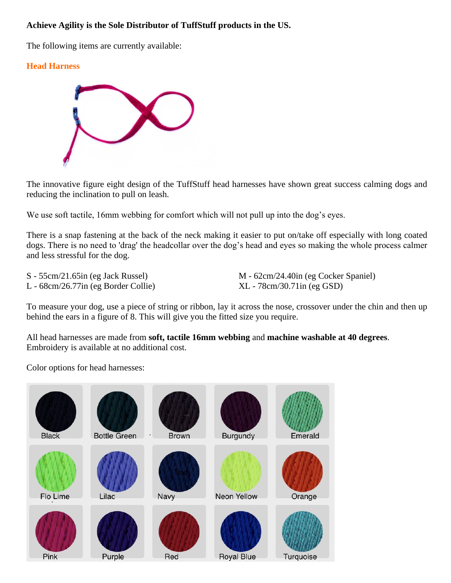## **Achieve Agility is the Sole Distributor of TuffStuff products in the US.**

The following items are currently available:

## **Head Harness**



The innovative figure eight design of the TuffStuff head harnesses have shown great success calming dogs and reducing the inclination to pull on leash.

We use soft tactile, 16mm webbing for comfort which will not pull up into the dog's eyes.

There is a snap fastening at the back of the neck making it easier to put on/take off especially with long coated dogs. There is no need to 'drag' the headcollar over the dog's head and eyes so making the whole process calmer and less stressful for the dog.

L - 68cm/26.77in (eg Border Collie) XL - 78cm/30.71in (eg GSD)

S - 55cm/21.65in (eg Jack Russel) M - 62cm/24.40in (eg Cocker Spaniel)

To measure your dog, use a piece of string or ribbon, lay it across the nose, crossover under the chin and then up behind the ears in a figure of 8. This will give you the fitted size you require.

All head harnesses are made from **soft, tactile 16mm webbing** and **machine washable at 40 degrees**. Embroidery is available at no additional cost.

Color options for head harnesses:

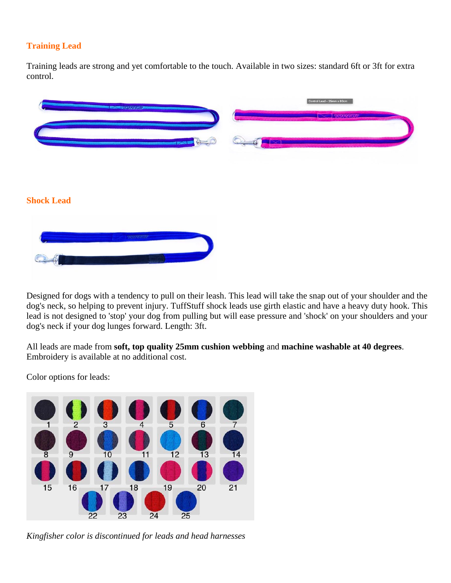## **Training Lead**

Training leads are strong and yet comfortable to the touch. Available in two sizes: standard 6ft or 3ft for extra control.

|                   | <b>AND BELOW FOUR GENERAL CONTINUES.</b> | Control Lead - 25mm x 80cm |  |
|-------------------|------------------------------------------|----------------------------|--|
|                   |                                          | <b>SECTIONSTUP</b>         |  |
|                   | <b>Execute</b>                           |                            |  |
|                   |                                          |                            |  |
|                   |                                          |                            |  |
| <b>Shock Lead</b> |                                          |                            |  |
|                   |                                          |                            |  |
|                   | TORPETORP                                |                            |  |
|                   |                                          |                            |  |
|                   |                                          |                            |  |

Designed for dogs with a tendency to pull on their leash. This lead will take the snap out of your shoulder and the dog's neck, so helping to prevent injury. TuffStuff shock leads use girth elastic and have a heavy duty hook. This lead is not designed to 'stop' your dog from pulling but will ease pressure and 'shock' on your shoulders and your dog's neck if your dog lunges forward. Length: 3ft.

All leads are made from **soft, top quality 25mm cushion webbing** and **machine washable at 40 degrees**. Embroidery is available at no additional cost.

Color options for leads:



*Kingfisher color is discontinued for leads and head harnesses*